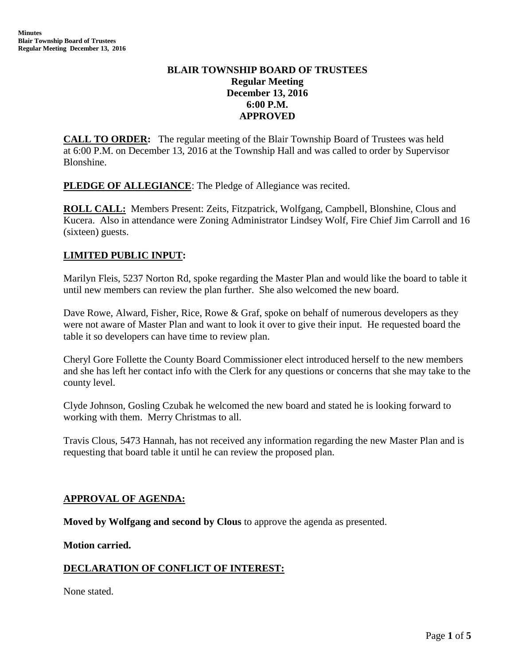# **BLAIR TOWNSHIP BOARD OF TRUSTEES Regular Meeting December 13, 2016 6:00 P.M. APPROVED**

**CALL TO ORDER:** The regular meeting of the Blair Township Board of Trustees was held at 6:00 P.M. on December 13, 2016 at the Township Hall and was called to order by Supervisor Blonshine.

**PLEDGE OF ALLEGIANCE:** The Pledge of Allegiance was recited.

**ROLL CALL:** Members Present: Zeits, Fitzpatrick, Wolfgang, Campbell, Blonshine, Clous and Kucera. Also in attendance were Zoning Administrator Lindsey Wolf, Fire Chief Jim Carroll and 16 (sixteen) guests.

# **LIMITED PUBLIC INPUT:**

Marilyn Fleis, 5237 Norton Rd, spoke regarding the Master Plan and would like the board to table it until new members can review the plan further. She also welcomed the new board.

Dave Rowe, Alward, Fisher, Rice, Rowe & Graf, spoke on behalf of numerous developers as they were not aware of Master Plan and want to look it over to give their input. He requested board the table it so developers can have time to review plan.

Cheryl Gore Follette the County Board Commissioner elect introduced herself to the new members and she has left her contact info with the Clerk for any questions or concerns that she may take to the county level.

Clyde Johnson, Gosling Czubak he welcomed the new board and stated he is looking forward to working with them. Merry Christmas to all.

Travis Clous, 5473 Hannah, has not received any information regarding the new Master Plan and is requesting that board table it until he can review the proposed plan.

### **APPROVAL OF AGENDA:**

**Moved by Wolfgang and second by Clous** to approve the agenda as presented.

**Motion carried.**

### **DECLARATION OF CONFLICT OF INTEREST:**

None stated.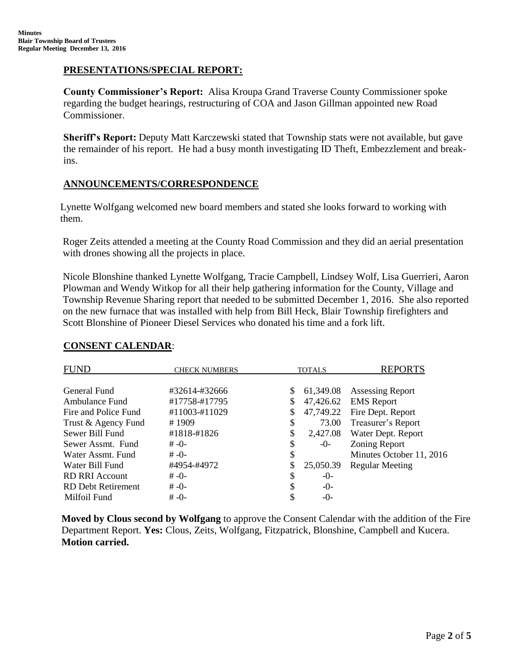## **PRESENTATIONS/SPECIAL REPORT:**

**County Commissioner's Report:** Alisa Kroupa Grand Traverse County Commissioner spoke regarding the budget hearings, restructuring of COA and Jason Gillman appointed new Road Commissioner.

**Sheriff's Report:** Deputy Matt Karczewski stated that Township stats were not available, but gave the remainder of his report. He had a busy month investigating ID Theft, Embezzlement and breakins.

### **ANNOUNCEMENTS/CORRESPONDENCE**

Lynette Wolfgang welcomed new board members and stated she looks forward to working with them.

Roger Zeits attended a meeting at the County Road Commission and they did an aerial presentation with drones showing all the projects in place.

Nicole Blonshine thanked Lynette Wolfgang, Tracie Campbell, Lindsey Wolf, Lisa Guerrieri, Aaron Plowman and Wendy Witkop for all their help gathering information for the County, Village and Township Revenue Sharing report that needed to be submitted December 1, 2016. She also reported on the new furnace that was installed with help from Bill Heck, Blair Township firefighters and Scott Blonshine of Pioneer Diesel Services who donated his time and a fork lift.

| <b>FUND</b>           | <b>CHECK NUMBERS</b> | <b>TOTALS</b> |           | <b>REPORTS</b>           |
|-----------------------|----------------------|---------------|-----------|--------------------------|
| General Fund          | #32614-#32666        | \$            | 61,349.08 | <b>Assessing Report</b>  |
| Ambulance Fund        | #17758-#17795        | \$            | 47,426.62 | <b>EMS</b> Report        |
| Fire and Police Fund  | #11003-#11029        | \$            | 47,749.22 | Fire Dept. Report        |
| Trust & Agency Fund   | #1909                | \$            | 73.00     | Treasurer's Report       |
| Sewer Bill Fund       | #1818-#1826          | \$            | 2,427.08  | Water Dept. Report       |
| Sewer Assmt. Fund     | $# -0-$              | \$            | -0-       | Zoning Report            |
| Water Assmt. Fund     | $# -0-$              | \$            |           | Minutes October 11, 2016 |
| Water Bill Fund       | #4954-#4972          | \$            | 25,050.39 | <b>Regular Meeting</b>   |
| <b>RD RRI Account</b> | $# -0-$              | \$            | $-()$     |                          |
| RD Debt Retirement    | $# -0-$              | S             | $-()$     |                          |
| Milfoil Fund          | $# -0-$              | \$            | $-0-$     |                          |

### **CONSENT CALENDAR**:

**Moved by Clous second by Wolfgang** to approve the Consent Calendar with the addition of the Fire Department Report. **Yes:** Clous, Zeits, Wolfgang, Fitzpatrick, Blonshine, Campbell and Kucera. **Motion carried.**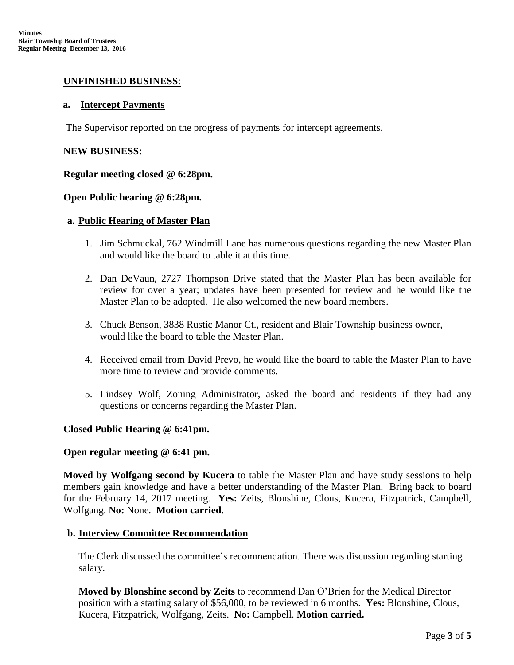### **UNFINISHED BUSINESS**:

#### **a. Intercept Payments**

The Supervisor reported on the progress of payments for intercept agreements.

#### **NEW BUSINESS:**

### **Regular meeting closed @ 6:28pm.**

### **Open Public hearing @ 6:28pm.**

### **a. Public Hearing of Master Plan**

- 1. Jim Schmuckal, 762 Windmill Lane has numerous questions regarding the new Master Plan and would like the board to table it at this time.
- 2. Dan DeVaun, 2727 Thompson Drive stated that the Master Plan has been available for review for over a year; updates have been presented for review and he would like the Master Plan to be adopted. He also welcomed the new board members.
- 3. Chuck Benson, 3838 Rustic Manor Ct., resident and Blair Township business owner, would like the board to table the Master Plan.
- 4. Received email from David Prevo, he would like the board to table the Master Plan to have more time to review and provide comments.
- 5. Lindsey Wolf, Zoning Administrator, asked the board and residents if they had any questions or concerns regarding the Master Plan.

### **Closed Public Hearing @ 6:41pm.**

#### **Open regular meeting @ 6:41 pm.**

**Moved by Wolfgang second by Kucera** to table the Master Plan and have study sessions to help members gain knowledge and have a better understanding of the Master Plan. Bring back to board for the February 14, 2017 meeting. **Yes:** Zeits, Blonshine, Clous, Kucera, Fitzpatrick, Campbell, Wolfgang. **No:** None. **Motion carried.**

#### **b. Interview Committee Recommendation**

The Clerk discussed the committee's recommendation. There was discussion regarding starting salary.

**Moved by Blonshine second by Zeits** to recommend Dan O'Brien for the Medical Director position with a starting salary of \$56,000, to be reviewed in 6 months. **Yes:** Blonshine, Clous, Kucera, Fitzpatrick, Wolfgang, Zeits. **No:** Campbell. **Motion carried.**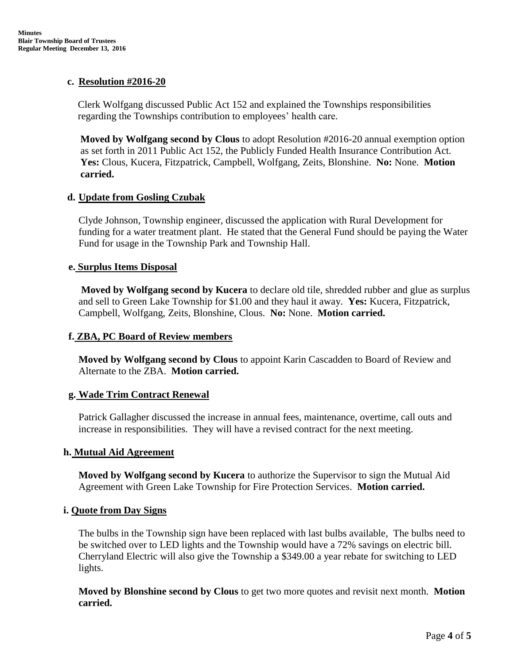### **c. Resolution #2016-20**

Clerk Wolfgang discussed Public Act 152 and explained the Townships responsibilities regarding the Townships contribution to employees' health care.

**Moved by Wolfgang second by Clous** to adopt Resolution #2016-20 annual exemption option as set forth in 2011 Public Act 152, the Publicly Funded Health Insurance Contribution Act. **Yes:** Clous, Kucera, Fitzpatrick, Campbell, Wolfgang, Zeits, Blonshine. **No:** None. **Motion carried.**

## **d. Update from Gosling Czubak**

Clyde Johnson, Township engineer, discussed the application with Rural Development for funding for a water treatment plant. He stated that the General Fund should be paying the Water Fund for usage in the Township Park and Township Hall.

## **e. Surplus Items Disposal**

**Moved by Wolfgang second by Kucera** to declare old tile, shredded rubber and glue as surplus and sell to Green Lake Township for \$1.00 and they haul it away. **Yes:** Kucera, Fitzpatrick, Campbell, Wolfgang, Zeits, Blonshine, Clous. **No:** None. **Motion carried.**

# **f. ZBA, PC Board of Review members**

**Moved by Wolfgang second by Clous** to appoint Karin Cascadden to Board of Review and Alternate to the ZBA. **Motion carried.**

### **g. Wade Trim Contract Renewal**

Patrick Gallagher discussed the increase in annual fees, maintenance, overtime, call outs and increase in responsibilities. They will have a revised contract for the next meeting.

### **h. Mutual Aid Agreement**

**Moved by Wolfgang second by Kucera** to authorize the Supervisor to sign the Mutual Aid Agreement with Green Lake Township for Fire Protection Services. **Motion carried.**

### **i. Quote from Day Signs**

The bulbs in the Township sign have been replaced with last bulbs available, The bulbs need to be switched over to LED lights and the Township would have a 72% savings on electric bill. Cherryland Electric will also give the Township a \$349.00 a year rebate for switching to LED lights.

**Moved by Blonshine second by Clous** to get two more quotes and revisit next month. **Motion carried.**